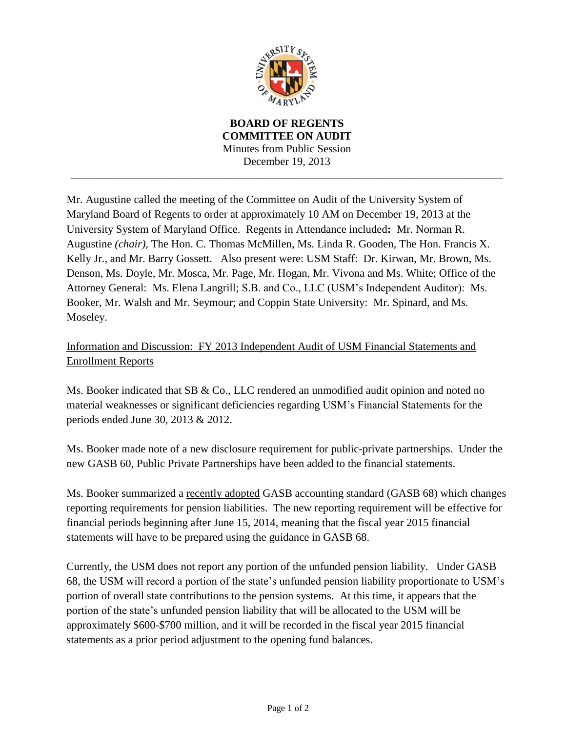

**BOARD OF REGENTS COMMITTEE ON AUDIT** Minutes from Public Session December 19, 2013

\_\_\_\_\_\_\_\_\_\_\_\_\_\_\_\_\_\_\_\_\_\_\_\_\_\_\_\_\_\_\_\_\_\_\_\_\_\_\_\_\_\_\_\_\_\_\_\_\_\_\_\_\_\_\_\_\_\_\_\_\_\_\_\_\_\_\_\_\_\_\_\_\_\_\_\_\_\_

Mr. Augustine called the meeting of the Committee on Audit of the University System of Maryland Board of Regents to order at approximately 10 AM on December 19, 2013 at the University System of Maryland Office. Regents in Attendance included**:** Mr. Norman R. Augustine *(chair),* The Hon. C. Thomas McMillen, Ms. Linda R. Gooden, The Hon. Francis X. Kelly Jr., and Mr. Barry Gossett. Also present were: USM Staff: Dr. Kirwan, Mr. Brown, Ms. Denson, Ms. Doyle, Mr. Mosca, Mr. Page, Mr. Hogan, Mr. Vivona and Ms. White; Office of the Attorney General: Ms. Elena Langrill; S.B. and Co., LLC (USM's Independent Auditor): Ms. Booker, Mr. Walsh and Mr. Seymour; and Coppin State University: Mr. Spinard, and Ms. Moseley.

Information and Discussion: FY 2013 Independent Audit of USM Financial Statements and Enrollment Reports

Ms. Booker indicated that SB & Co., LLC rendered an unmodified audit opinion and noted no material weaknesses or significant deficiencies regarding USM's Financial Statements for the periods ended June 30, 2013 & 2012.

Ms. Booker made note of a new disclosure requirement for public-private partnerships. Under the new GASB 60, Public Private Partnerships have been added to the financial statements.

Ms. Booker summarized a recently adopted GASB accounting standard (GASB 68) which changes reporting requirements for pension liabilities. The new reporting requirement will be effective for financial periods beginning after June 15, 2014, meaning that the fiscal year 2015 financial statements will have to be prepared using the guidance in GASB 68.

Currently, the USM does not report any portion of the unfunded pension liability. Under GASB 68, the USM will record a portion of the state's unfunded pension liability proportionate to USM's portion of overall state contributions to the pension systems. At this time, it appears that the portion of the state's unfunded pension liability that will be allocated to the USM will be approximately \$600-\$700 million, and it will be recorded in the fiscal year 2015 financial statements as a prior period adjustment to the opening fund balances.